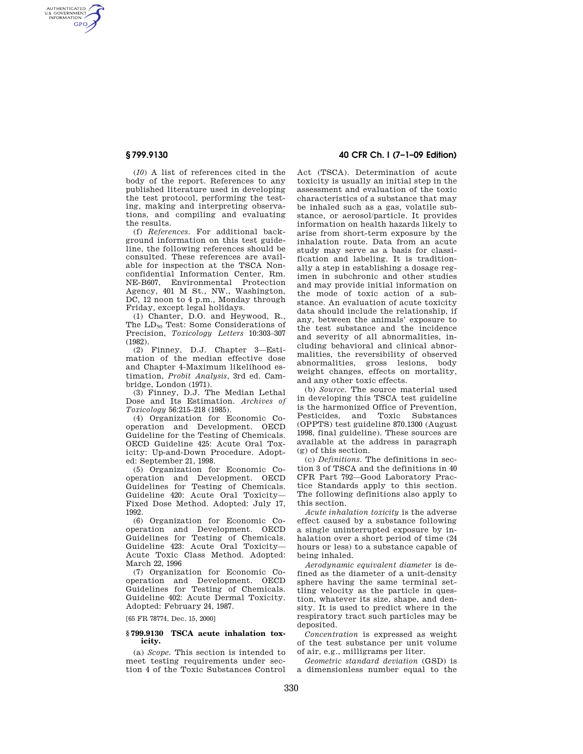AUTHENTICATED<br>U.S. GOVERNMENT<br>INFORMATION **GPO** 

> (*10*) A list of references cited in the body of the report. References to any published literature used in developing the test protocol, performing the testing, making and interpreting observations, and compiling and evaluating the results.

> (f) *References.* For additional background information on this test guideline, the following references should be consulted. These references are available for inspection at the TSCA Nonconfidential Information Center, Rm. NE-B607, Environmental Protection Agency, 401 M St., NW., Washington, DC, 12 noon to 4 p.m., Monday through Friday, except legal holidays.

> (1) Chanter, D.O. and Heywood, R., The LD<sub>50</sub> Test: Some Considerations of Precision, *Toxicology Letters* 10:303–307 (1982).

> (2) Finney, D.J. Chapter 3—Estimation of the median effective dose and Chapter 4-Maximum likelihood estimation, *Probit Analysis,* 3rd ed. Cambridge, London (1971).

> (3) Finney, D.J. The Median Lethal Dose and Its Estimation. *Archives of Toxicology* 56:215–218 (1985).

> (4) Organization for Economic Cooperation and Development. OECD Guideline for the Testing of Chemicals. OECD Guideline 425: Acute Oral Toxicity: Up-and-Down Procedure. Adopted: September 21, 1998.

> (5) Organization for Economic Cooperation and Development. OECD Guidelines for Testing of Chemicals. Guideline 420: Acute Oral Toxicity— Fixed Dose Method. Adopted: July 17, 1992.

> (6) Organization for Economic Cooperation and Development. OECD Guidelines for Testing of Chemicals. Guideline 423: Acute Oral Toxicity— Acute Toxic Class Method. Adopted: March 22, 1996

> (7) Organization for Economic Cooperation and Development. OECD Guidelines for Testing of Chemicals. Guideline 402: Acute Dermal Toxicity. Adopted: February 24, 1987.

[65 FR 78774, Dec. 15, 2000]

### **§ 799.9130 TSCA acute inhalation toxicity.**

(a) *Scope.* This section is intended to meet testing requirements under section 4 of the Toxic Substances Control

# **§ 799.9130 40 CFR Ch. I (7–1–09 Edition)**

Act (TSCA). Determination of acute toxicity is usually an initial step in the assessment and evaluation of the toxic characteristics of a substance that may be inhaled such as a gas, volatile substance, or aerosol/particle. It provides information on health hazards likely to arise from short-term exposure by the inhalation route. Data from an acute study may serve as a basis for classification and labeling. It is traditionally a step in establishing a dosage regimen in subchronic and other studies and may provide initial information on the mode of toxic action of a substance. An evaluation of acute toxicity data should include the relationship, if any, between the animals' exposure to the test substance and the incidence and severity of all abnormalities, including behavioral and clinical abnormalities, the reversibility of observed abnormalities, gross lesions, body weight changes, effects on mortality, and any other toxic effects.

(b) *Source.* The source material used in developing this TSCA test guideline is the harmonized Office of Prevention, Pesticides, and Toxic Substances (OPPTS) test guideline 870.1300 (August 1998, final guideline). These sources are available at the address in paragraph (g) of this section.

(c) *Definitions.* The definitions in section 3 of TSCA and the definitions in 40 CFR Part 792—Good Laboratory Practice Standards apply to this section. The following definitions also apply to this section.

*Acute inhalation toxicity* is the adverse effect caused by a substance following a single uninterrupted exposure by inhalation over a short period of time (24 hours or less) to a substance capable of being inhaled.

*Aerodynamic equivalent diameter* is defined as the diameter of a unit-density sphere having the same terminal settling velocity as the particle in question, whatever its size, shape, and density. It is used to predict where in the respiratory tract such particles may be deposited.

*Concentration* is expressed as weight of the test substance per unit volume of air, e.g., milligrams per liter.

*Geometric standard deviation* (GSD) is a dimensionless number equal to the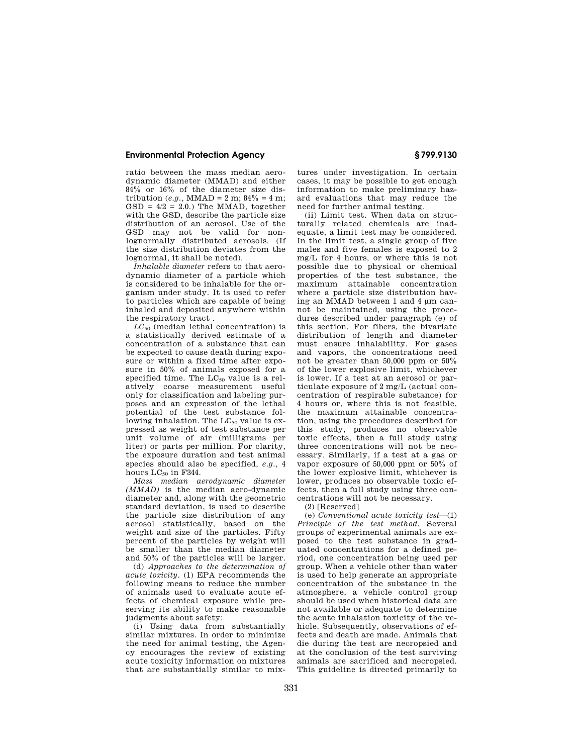## **Environmental Protection Agency § 799.9130**

ratio between the mass median aerodynamic diameter (MMAD) and either 84% or 16% of the diameter size distribution (*e.g.*, MMAD = 2 m;  $84\%$  = 4 m;  $GSD = 4/2 = 2.0$ .) The MMAD, together with the GSD, describe the particle size distribution of an aerosol. Use of the GSD may not be valid for nonlognormally distributed aerosols. (If the size distribution deviates from the lognormal, it shall be noted).

*Inhalable diameter* refers to that aerodynamic diameter of a particle which is considered to be inhalable for the organism under study. It is used to refer to particles which are capable of being inhaled and deposited anywhere within the respiratory tract .

 $LC_{50}$  (median lethal concentration) is a statistically derived estimate of a concentration of a substance that can be expected to cause death during exposure or within a fixed time after exposure in 50% of animals exposed for a specified time. The  $LC_{50}$  value is a relatively coarse measurement useful only for classification and labeling purposes and an expression of the lethal potential of the test substance following inhalation. The  $LC_{50}$  value is expressed as weight of test substance per unit volume of air (milligrams per liter) or parts per million. For clarity, the exposure duration and test animal species should also be specified, *e.g.*, 4 hours  $LC_{50}$  in F344.

*Mass median aerodynamic diameter (MMAD)* is the median aero-dynamic diameter and, along with the geometric standard deviation, is used to describe the particle size distribution of any aerosol statistically, based on the weight and size of the particles. Fifty percent of the particles by weight will be smaller than the median diameter and 50% of the particles will be larger.

(d) *Approaches to the determination of acute toxicity.* (1) EPA recommends the following means to reduce the number of animals used to evaluate acute effects of chemical exposure while preserving its ability to make reasonable judgments about safety:

(i) Using data from substantially similar mixtures. In order to minimize the need for animal testing, the Agency encourages the review of existing acute toxicity information on mixtures that are substantially similar to mixtures under investigation. In certain cases, it may be possible to get enough information to make preliminary hazard evaluations that may reduce the need for further animal testing.

(ii) Limit test. When data on structurally related chemicals are inadequate, a limit test may be considered. In the limit test, a single group of five males and five females is exposed to 2 mg/L for 4 hours, or where this is not possible due to physical or chemical properties of the test substance, the maximum attainable concentration where a particle size distribution having an MMAD between 1 and 4 μm cannot be maintained, using the procedures described under paragraph (e) of this section. For fibers, the bivariate distribution of length and diameter must ensure inhalability. For gases and vapors, the concentrations need not be greater than 50,000 ppm or 50% of the lower explosive limit, whichever is lower. If a test at an aerosol or particulate exposure of 2 mg/L (actual concentration of respirable substance) for 4 hours or, where this is not feasible, the maximum attainable concentration, using the procedures described for this study, produces no observable toxic effects, then a full study using three concentrations will not be necessary. Similarly, if a test at a gas or vapor exposure of 50,000 ppm or 50% of the lower explosive limit, whichever is lower, produces no observable toxic effects, then a full study using three concentrations will not be necessary.

(2) [Reserved]

(e) *Conventional acute toxicity test*—(1) *Principle of the test method.* Several groups of experimental animals are exposed to the test substance in graduated concentrations for a defined period, one concentration being used per group. When a vehicle other than water is used to help generate an appropriate concentration of the substance in the atmosphere, a vehicle control group should be used when historical data are not available or adequate to determine the acute inhalation toxicity of the vehicle. Subsequently, observations of effects and death are made. Animals that die during the test are necropsied and at the conclusion of the test surviving animals are sacrificed and necropsied. This guideline is directed primarily to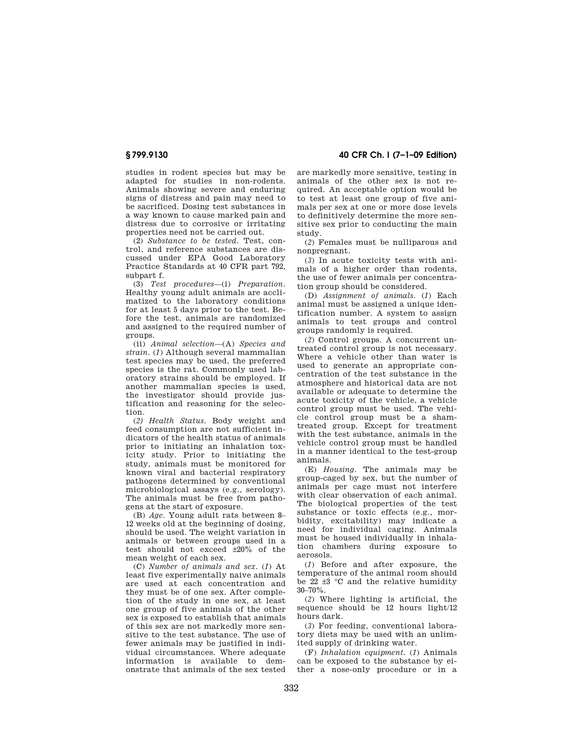studies in rodent species but may be adapted for studies in non-rodents. Animals showing severe and enduring signs of distress and pain may need to be sacrificed. Dosing test substances in a way known to cause marked pain and distress due to corrosive or irritating properties need not be carried out.

(2) *Substance to be tested.* Test, control, and reference substances are discussed under EPA Good Laboratory Practice Standards at 40 CFR part 792, subpart f.

(3) *Test procedures*—(i) *Preparation.*  Healthy young adult animals are acclimatized to the laboratory conditions for at least 5 days prior to the test. Before the test, animals are randomized and assigned to the required number of groups.

(ii) *Animal selection*—(A) *Species and strain.* (*1*) Although several mammalian test species may be used, the preferred species is the rat. Commonly used laboratory strains should be employed. If another mammalian species is used, the investigator should provide justification and reasoning for the selection.

(*2) Health Status.* Body weight and feed consumption are not sufficient indicators of the health status of animals prior to initiating an inhalation toxicity study. Prior to initiating the study, animals must be monitored for known viral and bacterial respiratory pathogens determined by conventional microbiological assays (e.g., serology). The animals must be free from pathogens at the start of exposure.

(B) *Age.* Young adult rats between 8– 12 weeks old at the beginning of dosing, should be used. The weight variation in animals or between groups used in a test should not exceed  $\pm 20\%$  of the mean weight of each sex.

(C) *Number of animals and sex.* (*1*) At least five experimentally naive animals are used at each concentration and they must be of one sex. After completion of the study in one sex, at least one group of five animals of the other sex is exposed to establish that animals of this sex are not markedly more sensitive to the test substance. The use of fewer animals may be justified in individual circumstances. Where adequate information is available to demonstrate that animals of the sex tested

**§ 799.9130 40 CFR Ch. I (7–1–09 Edition)** 

are markedly more sensitive, testing in animals of the other sex is not required. An acceptable option would be to test at least one group of five animals per sex at one or more dose levels to definitively determine the more sensitive sex prior to conducting the main study.

(*2*) Females must be nulliparous and nonpregnant.

(*3*) In acute toxicity tests with animals of a higher order than rodents, the use of fewer animals per concentration group should be considered.

(D) *Assignment of animals.* (*1*) Each animal must be assigned a unique identification number. A system to assign animals to test groups and control groups randomly is required.

(*2*) Control groups. A concurrent untreated control group is not necessary. Where a vehicle other than water is used to generate an appropriate concentration of the test substance in the atmosphere and historical data are not available or adequate to determine the acute toxicity of the vehicle, a vehicle control group must be used. The vehicle control group must be a shamtreated group. Except for treatment with the test substance, animals in the vehicle control group must be handled in a manner identical to the test-group animals.

(E) *Housing.* The animals may be group-caged by sex, but the number of animals per cage must not interfere with clear observation of each animal. The biological properties of the test substance or toxic effects (e.g., morbidity, excitability) may indicate a need for individual caging. Animals must be housed individually in inhalation chambers during exposure to aerosols.

(*1*) Before and after exposure, the temperature of the animal room should be  $22 \pm 3$  °C and the relative humidity  $30 - 70\%$ .

(*2*) Where lighting is artificial, the sequence should be 12 hours light/12 hours dark.

(*3*) For feeding, conventional laboratory diets may be used with an unlimited supply of drinking water.

(F) *Inhalation equipment.* (*1*) Animals can be exposed to the substance by either a nose-only procedure or in a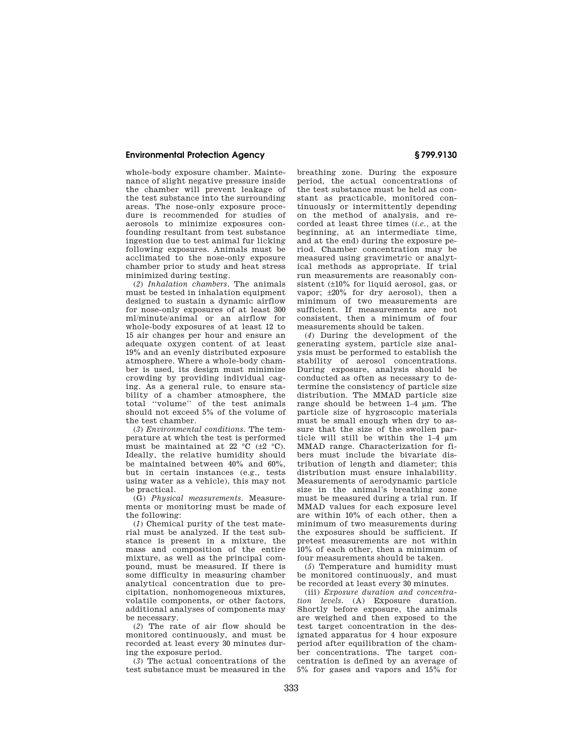## **Environmental Protection Agency § 799.9130**

whole-body exposure chamber. Maintenance of slight negative pressure inside the chamber will prevent leakage of the test substance into the surrounding areas. The nose-only exposure procedure is recommended for studies of aerosols to minimize exposures confounding resultant from test substance ingestion due to test animal fur licking following exposures. Animals must be acclimated to the nose-only exposure chamber prior to study and heat stress minimized during testing.

(*2*) *Inhalation chambers.* The animals must be tested in inhalation equipment designed to sustain a dynamic airflow for nose-only exposures of at least 300 ml/minute/animal or an airflow for whole-body exposures of at least 12 to 15 air changes per hour and ensure an adequate oxygen content of at least 19% and an evenly distributed exposure atmosphere. Where a whole-body chamber is used, its design must minimize crowding by providing individual caging. As a general rule, to ensure stability of a chamber atmosphere, the total ''volume'' of the test animals should not exceed 5% of the volume of the test chamber.

(*3*) *Environmental conditions.* The temperature at which the test is performed must be maintained at 22  $\overline{C}$  ( $\pm$ 2  $\overline{C}$ ). Ideally, the relative humidity should be maintained between 40% and 60%, but in certain instances (e.g., tests using water as a vehicle), this may not be practical.

(G) *Physical measurements.* Measurements or monitoring must be made of the following:

(*1*) Chemical purity of the test material must be analyzed. If the test substance is present in a mixture, the mass and composition of the entire mixture, as well as the principal compound, must be measured. If there is some difficulty in measuring chamber analytical concentration due to precipitation, nonhomogeneous mixtures, volatile components, or other factors, additional analyses of components may be necessary.

(*2*) The rate of air flow should be monitored continuously, and must be recorded at least every 30 minutes during the exposure period.

(*3*) The actual concentrations of the test substance must be measured in the breathing zone. During the exposure period, the actual concentrations of the test substance must be held as constant as practicable, monitored continuously or intermittently depending on the method of analysis, and recorded at least three times (*i.e.,* at the beginning, at an intermediate time, and at the end) during the exposure period. Chamber concentration may be measured using gravimetric or analytical methods as appropriate. If trial run measurements are reasonably consistent (±10% for liquid aerosol, gas, or vapor; ±20% for dry aerosol), then a minimum of two measurements are sufficient. If measurements are not consistent, then a minimum of four measurements should be taken.

(*4*) During the development of the generating system, particle size analysis must be performed to establish the stability of aerosol concentrations. During exposure, analysis should be conducted as often as necessary to determine the consistency of particle size distribution. The MMAD particle size range should be between 1–4 μm. The particle size of hygroscopic materials must be small enough when dry to assure that the size of the swollen particle will still be within the 1–4 μm MMAD range. Characterization for fibers must include the bivariate distribution of length and diameter; this distribution must ensure inhalability. Measurements of aerodynamic particle size in the animal's breathing zone must be measured during a trial run. If MMAD values for each exposure level are within 10% of each other, then a minimum of two measurements during the exposures should be sufficient. If pretest measurements are not within 10% of each other, then a minimum of four measurements should be taken.

(*5*) Temperature and humidity must be monitored continuously, and must be recorded at least every 30 minutes.

(iii) *Exposure duration and concentration levels.* (A) Exposure duration. Shortly before exposure, the animals are weighed and then exposed to the test target concentration in the designated apparatus for 4 hour exposure period after equilibration of the chamber concentrations. The target concentration is defined by an average of 5% for gases and vapors and 15% for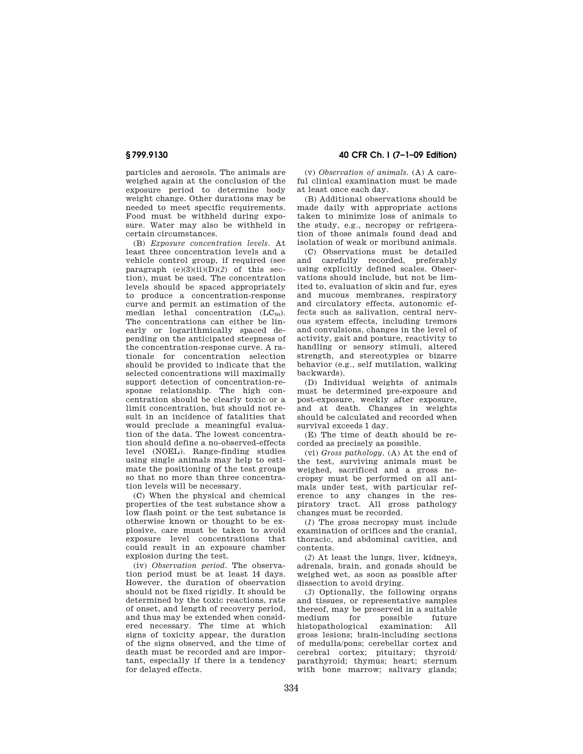particles and aerosols. The animals are weighed again at the conclusion of the exposure period to determine body weight change. Other durations may be needed to meet specific requirements. Food must be withheld during exposure. Water may also be withheld in certain circumstances.

(B) *Exposure concentration levels.* At least three concentration levels and a vehicle control group, if required (see paragraph  $(e)(3)(ii)(D)(2)$  of this section), must be used. The concentration levels should be spaced appropriately to produce a concentration-response curve and permit an estimation of the median lethal concentration  $(LC_{50})$ . The concentrations can either be linearly or logarithmically spaced depending on the anticipated steepness of the concentration-response curve. A rationale for concentration selection should be provided to indicate that the selected concentrations will maximally support detection of concentration-response relationship. The high concentration should be clearly toxic or a limit concentration, but should not result in an incidence of fatalities that would preclude a meaningful evaluation of the data. The lowest concentration should define a no-observed-effects level (NOEL). Range-finding studies using single animals may help to estimate the positioning of the test groups so that no more than three concentration levels will be necessary.

(C) When the physical and chemical properties of the test substance show a low flash point or the test substance is otherwise known or thought to be explosive, care must be taken to avoid exposure level concentrations that could result in an exposure chamber explosion during the test.

(iv) *Observation period.* The observation period must be at least 14 days. However, the duration of observation should not be fixed rigidly. It should be determined by the toxic reactions, rate of onset, and length of recovery period, and thus may be extended when considered necessary. The time at which signs of toxicity appear, the duration of the signs observed, and the time of death must be recorded and are important, especially if there is a tendency for delayed effects.

**§ 799.9130 40 CFR Ch. I (7–1–09 Edition)** 

(v) *Observation of animals.* (A) A careful clinical examination must be made at least once each day.

(B) Additional observations should be made daily with appropriate actions taken to minimize loss of animals to the study, e.g., necropsy or refrigeration of those animals found dead and isolation of weak or moribund animals.

(C) Observations must be detailed and carefully recorded, preferably using explicitly defined scales. Observations should include, but not be limited to, evaluation of skin and fur, eyes and mucous membranes, respiratory and circulatory effects, autonomic effects such as salivation, central nervous system effects, including tremors and convulsions, changes in the level of activity, gait and posture, reactivity to handling or sensory stimuli, altered strength, and stereotypies or bizarre behavior (e.g., self mutilation, walking backwards).

(D) Individual weights of animals must be determined pre-exposure and post-exposure, weekly after exposure, and at death. Changes in weights should be calculated and recorded when survival exceeds 1 day.

(E) The time of death should be recorded as precisely as possible.

(vi) *Gross pathology.* (A) At the end of the test, surviving animals must be weighed, sacrificed and a gross necropsy must be performed on all animals under test, with particular reference to any changes in the respiratory tract. All gross pathology changes must be recorded.

(*1*) The gross necropsy must include examination of orifices and the cranial, thoracic, and abdominal cavities, and contents.

(*2*) At least the lungs, liver, kidneys, adrenals, brain, and gonads should be weighed wet, as soon as possible after dissection to avoid drying.

(*3*) Optionally, the following organs and tissues, or representative samples thereof, may be preserved in a suitable<br>medium for possible future medium for possible future<br>histopathological examination: All examination: All gross lesions; brain-including sections of medulla/pons; cerebellar cortex and cerebral cortex; pituitary; thyroid/ parathyroid; thymus; heart; sternum with bone marrow; salivary glands;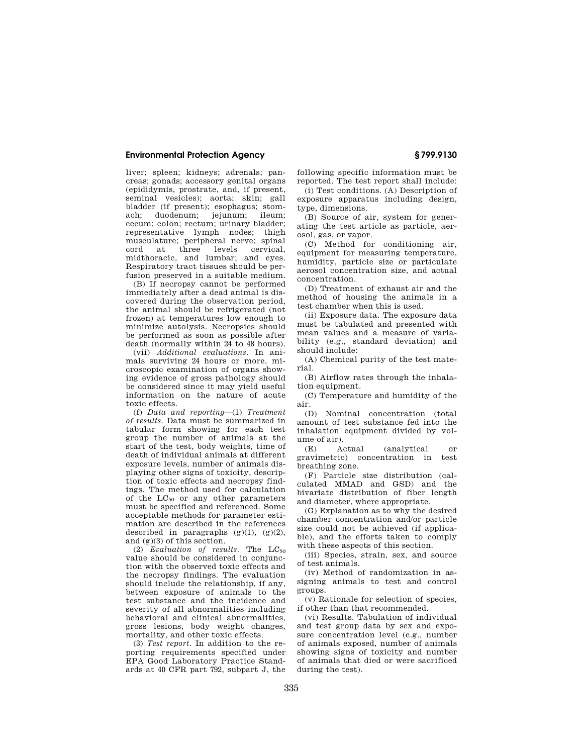## **Environmental Protection Agency § 799.9130**

liver; spleen; kidneys; adrenals; pancreas; gonads; accessory genital organs (epididymis, prostrate, and, if present, seminal vesicles); aorta; skin; gall bladder (if present); esophagus; stomach; duodenum; jejunum; ileum; cecum; colon; rectum; urinary bladder; representative lymph nodes; thigh musculature; peripheral nerve; spinal cord at three levels cervical, midthoracic, and lumbar; and eyes. Respiratory tract tissues should be perfusion preserved in a suitable medium.

(B) If necropsy cannot be performed immediately after a dead animal is discovered during the observation period, the animal should be refrigerated (not frozen) at temperatures low enough to minimize autolysis. Necropsies should be performed as soon as possible after death (normally within 24 to 48 hours).

(vii) *Additional evaluations.* In animals surviving 24 hours or more, microscopic examination of organs showing evidence of gross pathology should be considered since it may yield useful information on the nature of acute toxic effects.

(f) *Data and reporting*—(1) *Treatment of results.* Data must be summarized in tabular form showing for each test group the number of animals at the start of the test, body weights, time of death of individual animals at different exposure levels, number of animals displaying other signs of toxicity, description of toxic effects and necropsy findings. The method used for calculation of the  $LC_{50}$  or any other parameters must be specified and referenced. Some acceptable methods for parameter estimation are described in the references described in paragraphs  $(g)(1)$ ,  $(g)(2)$ , and (g)(3) of this section.

(2) *Evaluation of results*. The LC<sub>50</sub> value should be considered in conjunction with the observed toxic effects and the necropsy findings. The evaluation should include the relationship, if any, between exposure of animals to the test substance and the incidence and severity of all abnormalities including behavioral and clinical abnormalities, gross lesions, body weight changes, mortality, and other toxic effects.

(3) *Test report.* In addition to the reporting requirements specified under EPA Good Laboratory Practice Standards at 40 CFR part 792, subpart J, the

following specific information must be reported. The test report shall include:

(i) Test conditions. (A) Description of exposure apparatus including design, type, dimensions.

(B) Source of air, system for generating the test article as particle, aerosol, gas, or vapor.

(C) Method for conditioning air, equipment for measuring temperature, humidity, particle size or particulate aerosol concentration size, and actual concentration.

(D) Treatment of exhaust air and the method of housing the animals in a test chamber when this is used.

(ii) Exposure data. The exposure data must be tabulated and presented with mean values and a measure of variability (e.g., standard deviation) and should include:

(A) Chemical purity of the test material.

(B) Airflow rates through the inhalation equipment.

(C) Temperature and humidity of the air.

(D) Nominal concentration (total amount of test substance fed into the inhalation equipment divided by volume of air).

(E) Actual (analytical or gravimetric) concentration in test breathing zone.

(F) Particle size distribution (calculated MMAD and GSD) and the bivariate distribution of fiber length and diameter, where appropriate.

(G) Explanation as to why the desired chamber concentration and/or particle size could not be achieved (if applicable), and the efforts taken to comply with these aspects of this section.

(iii) Species, strain, sex, and source of test animals.

(iv) Method of randomization in assigning animals to test and control groups.

(v) Rationale for selection of species, if other than that recommended.

(vi) Results. Tabulation of individual and test group data by sex and exposure concentration level (e.g., number of animals exposed, number of animals showing signs of toxicity and number of animals that died or were sacrificed during the test.